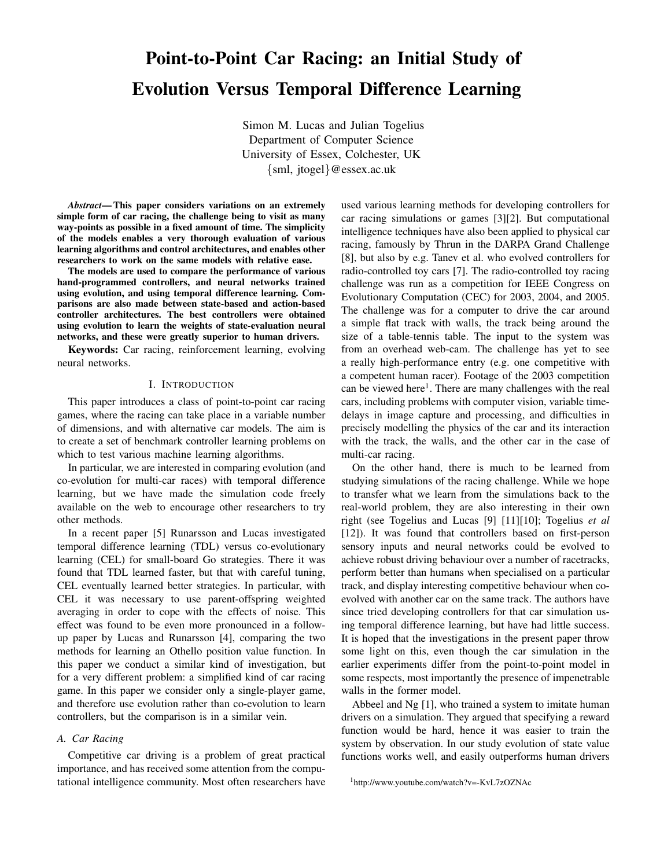# **Point-to-Point Car Racing: an Initial Study of Evolution Versus Temporal Difference Learning**

Simon M. Lucas and Julian Togelius Department of Computer Science University of Essex, Colchester, UK {sml, jtogel}@essex.ac.uk

*Abstract***— This paper considers variations on an extremely simple form of car racing, the challenge being to visit as many way-points as possible in a fixed amount of time. The simplicity of the models enables a very thorough evaluation of various learning algorithms and control architectures, and enables other researchers to work on the same models with relative ease.**

**The models are used to compare the performance of various hand-programmed controllers, and neural networks trained using evolution, and using temporal difference learning. Comparisons are also made between state-based and action-based controller architectures. The best controllers were obtained using evolution to learn the weights of state-evaluation neural networks, and these were greatly superior to human drivers.**

**Keywords:** Car racing, reinforcement learning, evolving neural networks.

## I. INTRODUCTION

This paper introduces a class of point-to-point car racing games, where the racing can take place in a variable number of dimensions, and with alternative car models. The aim is to create a set of benchmark controller learning problems on which to test various machine learning algorithms.

In particular, we are interested in comparing evolution (and co-evolution for multi-car races) with temporal difference learning, but we have made the simulation code freely available on the web to encourage other researchers to try other methods.

In a recent paper [5] Runarsson and Lucas investigated temporal difference learning (TDL) versus co-evolutionary learning (CEL) for small-board Go strategies. There it was found that TDL learned faster, but that with careful tuning, CEL eventually learned better strategies. In particular, with CEL it was necessary to use parent-offspring weighted averaging in order to cope with the effects of noise. This effect was found to be even more pronounced in a followup paper by Lucas and Runarsson [4], comparing the two methods for learning an Othello position value function. In this paper we conduct a similar kind of investigation, but for a very different problem: a simplified kind of car racing game. In this paper we consider only a single-player game, and therefore use evolution rather than co-evolution to learn controllers, but the comparison is in a similar vein.

## *A. Car Racing*

Competitive car driving is a problem of great practical importance, and has received some attention from the computational intelligence community. Most often researchers have

used various learning methods for developing controllers for car racing simulations or games [3][2]. But computational intelligence techniques have also been applied to physical car racing, famously by Thrun in the DARPA Grand Challenge [8], but also by e.g. Tanev et al. who evolved controllers for radio-controlled toy cars [7]. The radio-controlled toy racing challenge was run as a competition for IEEE Congress on Evolutionary Computation (CEC) for 2003, 2004, and 2005. The challenge was for a computer to drive the car around a simple flat track with walls, the track being around the size of a table-tennis table. The input to the system was from an overhead web-cam. The challenge has yet to see a really high-performance entry (e.g. one competitive with a competent human racer). Footage of the 2003 competition can be viewed here<sup>1</sup>. There are many challenges with the real cars, including problems with computer vision, variable timedelays in image capture and processing, and difficulties in precisely modelling the physics of the car and its interaction with the track, the walls, and the other car in the case of multi-car racing.

On the other hand, there is much to be learned from studying simulations of the racing challenge. While we hope to transfer what we learn from the simulations back to the real-world problem, they are also interesting in their own right (see Togelius and Lucas [9] [11][10]; Togelius *et al* [12]). It was found that controllers based on first-person sensory inputs and neural networks could be evolved to achieve robust driving behaviour over a number of racetracks, perform better than humans when specialised on a particular track, and display interesting competitive behaviour when coevolved with another car on the same track. The authors have since tried developing controllers for that car simulation using temporal difference learning, but have had little success. It is hoped that the investigations in the present paper throw some light on this, even though the car simulation in the earlier experiments differ from the point-to-point model in some respects, most importantly the presence of impenetrable walls in the former model.

Abbeel and Ng [1], who trained a system to imitate human drivers on a simulation. They argued that specifying a reward function would be hard, hence it was easier to train the system by observation. In our study evolution of state value functions works well, and easily outperforms human drivers

<sup>1</sup>http://www.youtube.com/watch?v=-KvL7zOZNAc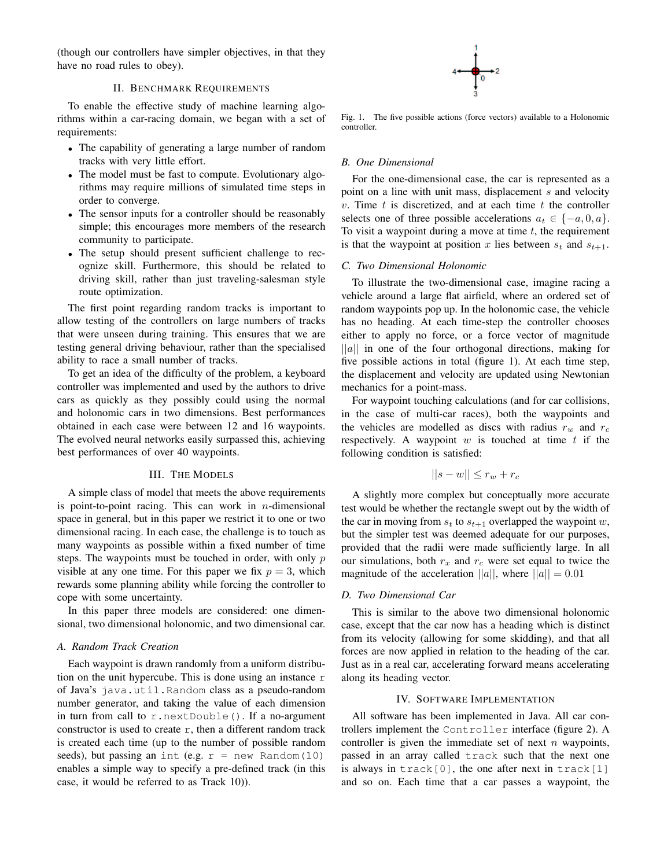(though our controllers have simpler objectives, in that they have no road rules to obey).

## II. BENCHMARK REQUIREMENTS

To enable the effective study of machine learning algorithms within a car-racing domain, we began with a set of requirements:

- The capability of generating a large number of random tracks with very little effort.
- The model must be fast to compute. Evolutionary algorithms may require millions of simulated time steps in order to converge.
- The sensor inputs for a controller should be reasonably simple; this encourages more members of the research community to participate.
- The setup should present sufficient challenge to recognize skill. Furthermore, this should be related to driving skill, rather than just traveling-salesman style route optimization.

The first point regarding random tracks is important to allow testing of the controllers on large numbers of tracks that were unseen during training. This ensures that we are testing general driving behaviour, rather than the specialised ability to race a small number of tracks.

To get an idea of the difficulty of the problem, a keyboard controller was implemented and used by the authors to drive cars as quickly as they possibly could using the normal and holonomic cars in two dimensions. Best performances obtained in each case were between 12 and 16 waypoints. The evolved neural networks easily surpassed this, achieving best performances of over 40 waypoints.

## III. THE MODELS

A simple class of model that meets the above requirements is point-to-point racing. This can work in  $n$ -dimensional space in general, but in this paper we restrict it to one or two dimensional racing. In each case, the challenge is to touch as many waypoints as possible within a fixed number of time steps. The waypoints must be touched in order, with only  $p$ visible at any one time. For this paper we fix  $p = 3$ , which rewards some planning ability while forcing the controller to cope with some uncertainty.

In this paper three models are considered: one dimensional, two dimensional holonomic, and two dimensional car.

#### *A. Random Track Creation*

Each waypoint is drawn randomly from a uniform distribution on the unit hypercube. This is done using an instance  $r$ of Java's java.util.Random class as a pseudo-random number generator, and taking the value of each dimension in turn from call to  $r$ . nextDouble(). If a no-argument constructor is used to create  $r$ , then a different random track is created each time (up to the number of possible random seeds), but passing an int (e.g.  $r = new Random(10)$ enables a simple way to specify a pre-defined track (in this case, it would be referred to as Track 10)).



Fig. 1. The five possible actions (force vectors) available to a Holonomic controller.

## *B. One Dimensional*

For the one-dimensional case, the car is represented as a point on a line with unit mass, displacement s and velocity  $v$ . Time  $t$  is discretized, and at each time  $t$  the controller selects one of three possible accelerations  $a_t \in \{-a, 0, a\}.$ To visit a waypoint during a move at time  $t$ , the requirement is that the waypoint at position x lies between  $s_t$  and  $s_{t+1}$ .

## *C. Two Dimensional Holonomic*

To illustrate the two-dimensional case, imagine racing a vehicle around a large flat airfield, where an ordered set of random waypoints pop up. In the holonomic case, the vehicle has no heading. At each time-step the controller chooses either to apply no force, or a force vector of magnitude  $||a||$  in one of the four orthogonal directions, making for five possible actions in total (figure 1). At each time step, the displacement and velocity are updated using Newtonian mechanics for a point-mass.

For waypoint touching calculations (and for car collisions, in the case of multi-car races), both the waypoints and the vehicles are modelled as discs with radius  $r_w$  and  $r_c$ respectively. A waypoint  $w$  is touched at time  $t$  if the following condition is satisfied:

$$
||s - w|| \leq r_w + r_c
$$

A slightly more complex but conceptually more accurate test would be whether the rectangle swept out by the width of the car in moving from  $s_t$  to  $s_{t+1}$  overlapped the waypoint w, but the simpler test was deemed adequate for our purposes, provided that the radii were made sufficiently large. In all our simulations, both  $r_x$  and  $r_c$  were set equal to twice the magnitude of the acceleration  $||a||$ , where  $||a|| = 0.01$ 

#### *D. Two Dimensional Car*

This is similar to the above two dimensional holonomic case, except that the car now has a heading which is distinct from its velocity (allowing for some skidding), and that all forces are now applied in relation to the heading of the car. Just as in a real car, accelerating forward means accelerating along its heading vector.

## IV. SOFTWARE IMPLEMENTATION

All software has been implemented in Java. All car controllers implement the Controller interface (figure 2). A controller is given the immediate set of next  $n$  waypoints, passed in an array called track such that the next one is always in  $track[0]$ , the one after next in  $track[1]$ and so on. Each time that a car passes a waypoint, the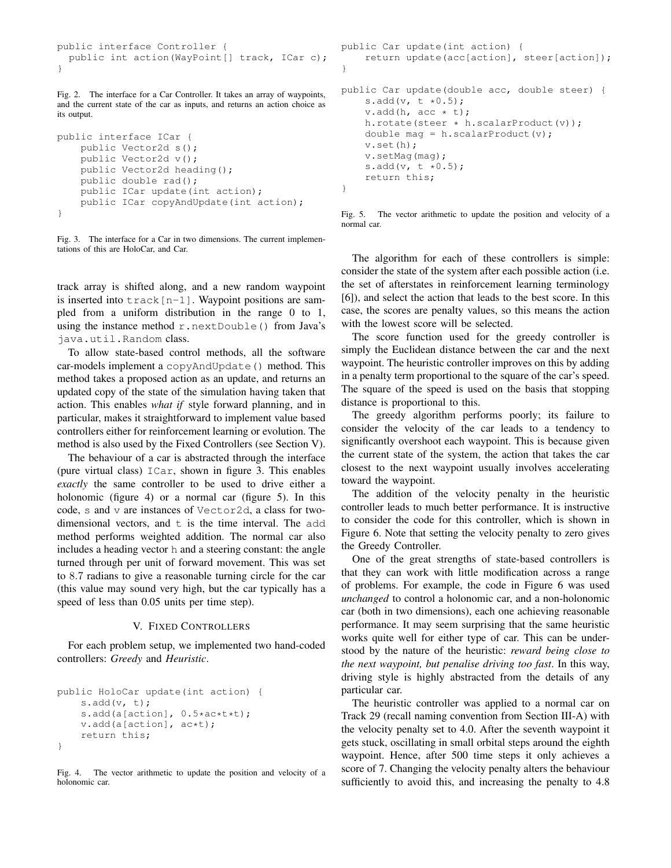```
public interface Controller {
  public int action(WayPoint[] track, ICar c);
}
```
Fig. 2. The interface for a Car Controller. It takes an array of waypoints, and the current state of the car as inputs, and returns an action choice as its output.

```
public interface ICar {
    public Vector2d s();
    public Vector2d v();
    public Vector2d heading();
    public double rad();
    public ICar update(int action);
    public ICar copyAndUpdate(int action);
}
```
Fig. 3. The interface for a Car in two dimensions. The current implementations of this are HoloCar, and Car.

track array is shifted along, and a new random waypoint is inserted into  $\text{track}[n-1]$ . Waypoint positions are sampled from a uniform distribution in the range 0 to 1, using the instance method  $r$ .nextDouble() from Java's java.util.Random class.

To allow state-based control methods, all the software car-models implement a copyAndUpdate() method. This method takes a proposed action as an update, and returns an updated copy of the state of the simulation having taken that action. This enables *what if* style forward planning, and in particular, makes it straightforward to implement value based controllers either for reinforcement learning or evolution. The method is also used by the Fixed Controllers (see Section V).

The behaviour of a car is abstracted through the interface (pure virtual class) ICar, shown in figure 3. This enables *exactly* the same controller to be used to drive either a holonomic (figure 4) or a normal car (figure 5). In this code, s and v are instances of Vector2d, a class for twodimensional vectors, and  $t$  is the time interval. The add method performs weighted addition. The normal car also includes a heading vector h and a steering constant: the angle turned through per unit of forward movement. This was set to 8.7 radians to give a reasonable turning circle for the car (this value may sound very high, but the car typically has a speed of less than 0.05 units per time step).

## V. FIXED CONTROLLERS

For each problem setup, we implemented two hand-coded controllers: *Greedy* and *Heuristic*.

```
public HoloCar update(int action) {
    s.add(v, t);s.add(a[action], 0.5*ac*t*t;
    v.add(a[action], ac*t);
    return this;
}
```
Fig. 4. The vector arithmetic to update the position and velocity of a holonomic car.

```
public Car update(int action) {
   return update(acc[action], steer[action]);
}
public Car update(double acc, double steer) {
    s.add(v, t * 0.5);
    v.add(h, acc * t);h.rotate(steer \star h.scalarProduct(v));
    double mag = h.scalarProduct(v);v.set(h);
    v.setMag(mag);
    s.add(v, t * 0.5);
    return this;
}
```

```
Fig. 5. The vector arithmetic to update the position and velocity of a
normal car.
```
The algorithm for each of these controllers is simple: consider the state of the system after each possible action (i.e. the set of afterstates in reinforcement learning terminology [6]), and select the action that leads to the best score. In this case, the scores are penalty values, so this means the action with the lowest score will be selected.

The score function used for the greedy controller is simply the Euclidean distance between the car and the next waypoint. The heuristic controller improves on this by adding in a penalty term proportional to the square of the car's speed. The square of the speed is used on the basis that stopping distance is proportional to this.

The greedy algorithm performs poorly; its failure to consider the velocity of the car leads to a tendency to significantly overshoot each waypoint. This is because given the current state of the system, the action that takes the car closest to the next waypoint usually involves accelerating toward the waypoint.

The addition of the velocity penalty in the heuristic controller leads to much better performance. It is instructive to consider the code for this controller, which is shown in Figure 6. Note that setting the velocity penalty to zero gives the Greedy Controller.

One of the great strengths of state-based controllers is that they can work with little modification across a range of problems. For example, the code in Figure 6 was used *unchanged* to control a holonomic car, and a non-holonomic car (both in two dimensions), each one achieving reasonable performance. It may seem surprising that the same heuristic works quite well for either type of car. This can be understood by the nature of the heuristic: *reward being close to the next waypoint, but penalise driving too fast*. In this way, driving style is highly abstracted from the details of any particular car.

The heuristic controller was applied to a normal car on Track 29 (recall naming convention from Section III-A) with the velocity penalty set to 4.0. After the seventh waypoint it gets stuck, oscillating in small orbital steps around the eighth waypoint. Hence, after 500 time steps it only achieves a score of 7. Changing the velocity penalty alters the behaviour sufficiently to avoid this, and increasing the penalty to 4.8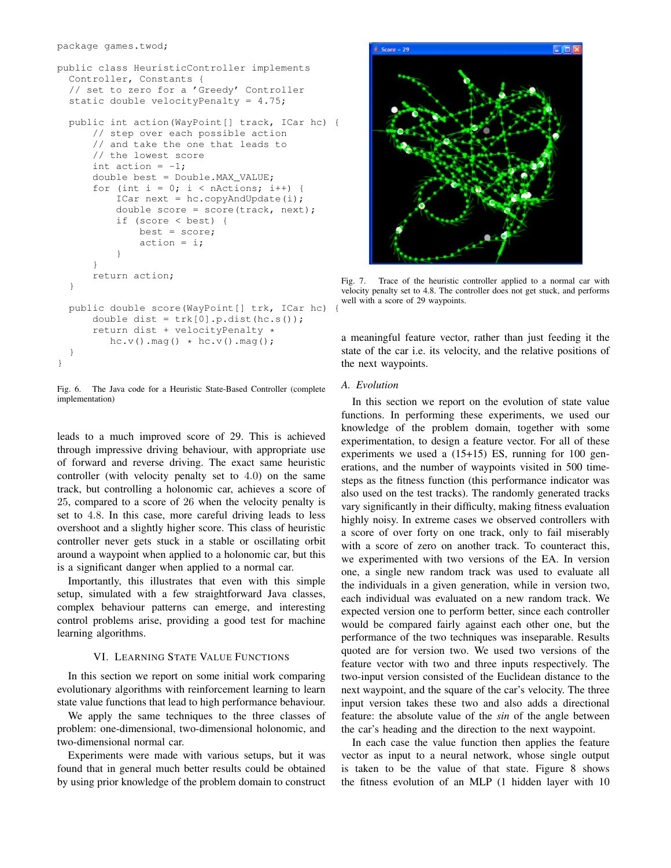```
public class HeuristicController implements
 Controller, Constants {
  // set to zero for a 'Greedy' Controller
  static double velocityPenalty = 4.75;
 public int action(WayPoint[] track, ICar hc) {
      // step over each possible action
      // and take the one that leads to
      // the lowest score
      int action = -1;
      double best = Double.MAX_VALUE;
      for (int i = 0; i < nActions; i++) {
          ICar next = hc.copyAndUpdate(i);
          double score = score(track, next);
          if (score < best) {
              best = score;
              action = i;}
      }
      return action;
  }
  public double score(WayPoint[] trk, ICar hc) {
      double dist = trk[0].p.dist(hc.s());
      return dist + velocityPenalty *
         hc.v() .mag() * hc.v() .mag()}
}
```
Fig. 6. The Java code for a Heuristic State-Based Controller (complete implementation)

leads to a much improved score of 29. This is achieved through impressive driving behaviour, with appropriate use of forward and reverse driving. The exact same heuristic controller (with velocity penalty set to 4.0) on the same track, but controlling a holonomic car, achieves a score of 25, compared to a score of 26 when the velocity penalty is set to 4.8. In this case, more careful driving leads to less overshoot and a slightly higher score. This class of heuristic controller never gets stuck in a stable or oscillating orbit around a waypoint when applied to a holonomic car, but this is a significant danger when applied to a normal car.

Importantly, this illustrates that even with this simple setup, simulated with a few straightforward Java classes, complex behaviour patterns can emerge, and interesting control problems arise, providing a good test for machine learning algorithms.

## VI. LEARNING STATE VALUE FUNCTIONS

In this section we report on some initial work comparing evolutionary algorithms with reinforcement learning to learn state value functions that lead to high performance behaviour.

We apply the same techniques to the three classes of problem: one-dimensional, two-dimensional holonomic, and two-dimensional normal car.

Experiments were made with various setups, but it was found that in general much better results could be obtained by using prior knowledge of the problem domain to construct



Fig. 7. Trace of the heuristic controller applied to a normal car with velocity penalty set to 4.8. The controller does not get stuck, and performs well with a score of 29 waypoints.

a meaningful feature vector, rather than just feeding it the state of the car i.e. its velocity, and the relative positions of the next waypoints.

## *A. Evolution*

In this section we report on the evolution of state value functions. In performing these experiments, we used our knowledge of the problem domain, together with some experimentation, to design a feature vector. For all of these experiments we used a (15+15) ES, running for 100 generations, and the number of waypoints visited in 500 timesteps as the fitness function (this performance indicator was also used on the test tracks). The randomly generated tracks vary significantly in their difficulty, making fitness evaluation highly noisy. In extreme cases we observed controllers with a score of over forty on one track, only to fail miserably with a score of zero on another track. To counteract this, we experimented with two versions of the EA. In version one, a single new random track was used to evaluate all the individuals in a given generation, while in version two, each individual was evaluated on a new random track. We expected version one to perform better, since each controller would be compared fairly against each other one, but the performance of the two techniques was inseparable. Results quoted are for version two. We used two versions of the feature vector with two and three inputs respectively. The two-input version consisted of the Euclidean distance to the next waypoint, and the square of the car's velocity. The three input version takes these two and also adds a directional feature: the absolute value of the *sin* of the angle between the car's heading and the direction to the next waypoint.

In each case the value function then applies the feature vector as input to a neural network, whose single output is taken to be the value of that state. Figure 8 shows the fitness evolution of an MLP (1 hidden layer with 10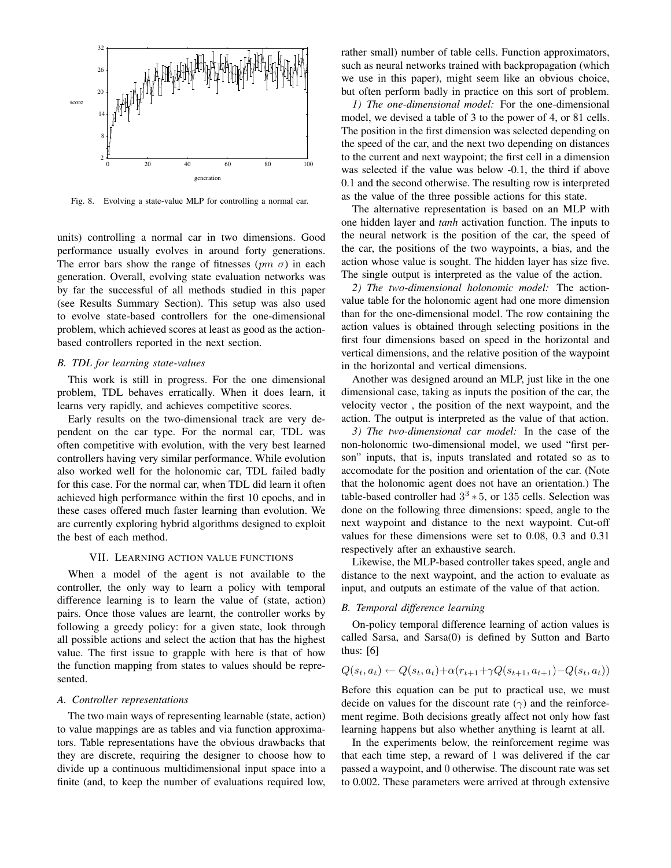

Fig. 8. Evolving a state-value MLP for controlling a normal car.

units) controlling a normal car in two dimensions. Good performance usually evolves in around forty generations. The error bars show the range of fitnesses ( $pm \space \sigma$ ) in each generation. Overall, evolving state evaluation networks was by far the successful of all methods studied in this paper (see Results Summary Section). This setup was also used to evolve state-based controllers for the one-dimensional problem, which achieved scores at least as good as the actionbased controllers reported in the next section.

## *B. TDL for learning state-values*

This work is still in progress. For the one dimensional problem, TDL behaves erratically. When it does learn, it learns very rapidly, and achieves competitive scores.

Early results on the two-dimensional track are very dependent on the car type. For the normal car, TDL was often competitive with evolution, with the very best learned controllers having very similar performance. While evolution also worked well for the holonomic car, TDL failed badly for this case. For the normal car, when TDL did learn it often achieved high performance within the first 10 epochs, and in these cases offered much faster learning than evolution. We are currently exploring hybrid algorithms designed to exploit the best of each method.

#### VII. LEARNING ACTION VALUE FUNCTIONS

When a model of the agent is not available to the controller, the only way to learn a policy with temporal difference learning is to learn the value of (state, action) pairs. Once those values are learnt, the controller works by following a greedy policy: for a given state, look through all possible actions and select the action that has the highest value. The first issue to grapple with here is that of how the function mapping from states to values should be represented.

## *A. Controller representations*

The two main ways of representing learnable (state, action) to value mappings are as tables and via function approximators. Table representations have the obvious drawbacks that they are discrete, requiring the designer to choose how to divide up a continuous multidimensional input space into a finite (and, to keep the number of evaluations required low, rather small) number of table cells. Function approximators, such as neural networks trained with backpropagation (which we use in this paper), might seem like an obvious choice, but often perform badly in practice on this sort of problem.

*1) The one-dimensional model:* For the one-dimensional model, we devised a table of 3 to the power of 4, or 81 cells. The position in the first dimension was selected depending on the speed of the car, and the next two depending on distances to the current and next waypoint; the first cell in a dimension was selected if the value was below -0.1, the third if above 0.1 and the second otherwise. The resulting row is interpreted as the value of the three possible actions for this state.

The alternative representation is based on an MLP with one hidden layer and *tanh* activation function. The inputs to the neural network is the position of the car, the speed of the car, the positions of the two waypoints, a bias, and the action whose value is sought. The hidden layer has size five. The single output is interpreted as the value of the action.

*2) The two-dimensional holonomic model:* The actionvalue table for the holonomic agent had one more dimension than for the one-dimensional model. The row containing the action values is obtained through selecting positions in the first four dimensions based on speed in the horizontal and vertical dimensions, and the relative position of the waypoint in the horizontal and vertical dimensions.

Another was designed around an MLP, just like in the one dimensional case, taking as inputs the position of the car, the velocity vector , the position of the next waypoint, and the action. The output is interpreted as the value of that action.

*3) The two-dimensional car model:* In the case of the non-holonomic two-dimensional model, we used "first person" inputs, that is, inputs translated and rotated so as to accomodate for the position and orientation of the car. (Note that the holonomic agent does not have an orientation.) The table-based controller had  $3^3 * 5$ , or 135 cells. Selection was done on the following three dimensions: speed, angle to the next waypoint and distance to the next waypoint. Cut-off values for these dimensions were set to 0.08, 0.3 and 0.31 respectively after an exhaustive search.

Likewise, the MLP-based controller takes speed, angle and distance to the next waypoint, and the action to evaluate as input, and outputs an estimate of the value of that action.

## *B. Temporal difference learning*

On-policy temporal difference learning of action values is called Sarsa, and Sarsa(0) is defined by Sutton and Barto thus: [6]

$$
Q(s_t, a_t) \leftarrow Q(s_t, a_t) + \alpha(r_{t+1} + \gamma Q(s_{t+1}, a_{t+1}) - Q(s_t, a_t))
$$

Before this equation can be put to practical use, we must decide on values for the discount rate  $(\gamma)$  and the reinforcement regime. Both decisions greatly affect not only how fast learning happens but also whether anything is learnt at all.

In the experiments below, the reinforcement regime was that each time step, a reward of 1 was delivered if the car passed a waypoint, and 0 otherwise. The discount rate was set to 0.002. These parameters were arrived at through extensive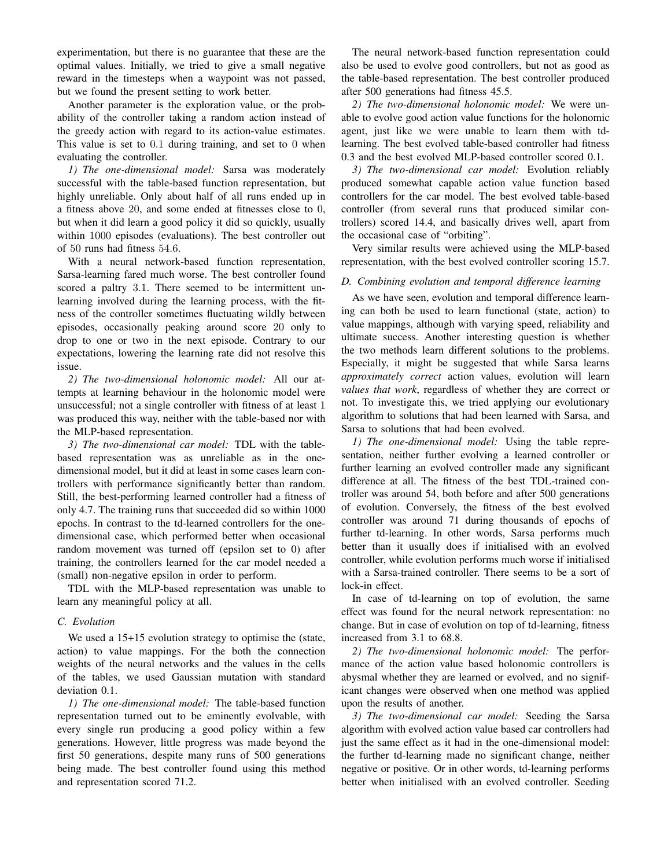experimentation, but there is no guarantee that these are the optimal values. Initially, we tried to give a small negative reward in the timesteps when a waypoint was not passed, but we found the present setting to work better.

Another parameter is the exploration value, or the probability of the controller taking a random action instead of the greedy action with regard to its action-value estimates. This value is set to 0.1 during training, and set to 0 when evaluating the controller.

*1) The one-dimensional model:* Sarsa was moderately successful with the table-based function representation, but highly unreliable. Only about half of all runs ended up in a fitness above 20, and some ended at fitnesses close to 0, but when it did learn a good policy it did so quickly, usually within 1000 episodes (evaluations). The best controller out of 50 runs had fitness 54.6.

With a neural network-based function representation, Sarsa-learning fared much worse. The best controller found scored a paltry 3.1. There seemed to be intermittent unlearning involved during the learning process, with the fitness of the controller sometimes fluctuating wildly between episodes, occasionally peaking around score 20 only to drop to one or two in the next episode. Contrary to our expectations, lowering the learning rate did not resolve this issue.

*2) The two-dimensional holonomic model:* All our attempts at learning behaviour in the holonomic model were unsuccessful; not a single controller with fitness of at least 1 was produced this way, neither with the table-based nor with the MLP-based representation.

*3) The two-dimensional car model:* TDL with the tablebased representation was as unreliable as in the onedimensional model, but it did at least in some cases learn controllers with performance significantly better than random. Still, the best-performing learned controller had a fitness of only 4.7. The training runs that succeeded did so within 1000 epochs. In contrast to the td-learned controllers for the onedimensional case, which performed better when occasional random movement was turned off (epsilon set to 0) after training, the controllers learned for the car model needed a (small) non-negative epsilon in order to perform.

TDL with the MLP-based representation was unable to learn any meaningful policy at all.

## *C. Evolution*

We used a 15+15 evolution strategy to optimise the (state, action) to value mappings. For the both the connection weights of the neural networks and the values in the cells of the tables, we used Gaussian mutation with standard deviation 0.1.

*1) The one-dimensional model:* The table-based function representation turned out to be eminently evolvable, with every single run producing a good policy within a few generations. However, little progress was made beyond the first 50 generations, despite many runs of 500 generations being made. The best controller found using this method and representation scored 71.2.

The neural network-based function representation could also be used to evolve good controllers, but not as good as the table-based representation. The best controller produced after 500 generations had fitness 45.5.

*2) The two-dimensional holonomic model:* We were unable to evolve good action value functions for the holonomic agent, just like we were unable to learn them with tdlearning. The best evolved table-based controller had fitness 0.3 and the best evolved MLP-based controller scored 0.1.

*3) The two-dimensional car model:* Evolution reliably produced somewhat capable action value function based controllers for the car model. The best evolved table-based controller (from several runs that produced similar controllers) scored 14.4, and basically drives well, apart from the occasional case of "orbiting".

Very similar results were achieved using the MLP-based representation, with the best evolved controller scoring 15.7.

## *D. Combining evolution and temporal difference learning*

As we have seen, evolution and temporal difference learning can both be used to learn functional (state, action) to value mappings, although with varying speed, reliability and ultimate success. Another interesting question is whether the two methods learn different solutions to the problems. Especially, it might be suggested that while Sarsa learns *approximately correct* action values, evolution will learn *values that work*, regardless of whether they are correct or not. To investigate this, we tried applying our evolutionary algorithm to solutions that had been learned with Sarsa, and Sarsa to solutions that had been evolved.

*1) The one-dimensional model:* Using the table representation, neither further evolving a learned controller or further learning an evolved controller made any significant difference at all. The fitness of the best TDL-trained controller was around 54, both before and after 500 generations of evolution. Conversely, the fitness of the best evolved controller was around 71 during thousands of epochs of further td-learning. In other words, Sarsa performs much better than it usually does if initialised with an evolved controller, while evolution performs much worse if initialised with a Sarsa-trained controller. There seems to be a sort of lock-in effect.

In case of td-learning on top of evolution, the same effect was found for the neural network representation: no change. But in case of evolution on top of td-learning, fitness increased from 3.1 to 68.8.

*2) The two-dimensional holonomic model:* The performance of the action value based holonomic controllers is abysmal whether they are learned or evolved, and no significant changes were observed when one method was applied upon the results of another.

*3) The two-dimensional car model:* Seeding the Sarsa algorithm with evolved action value based car controllers had just the same effect as it had in the one-dimensional model: the further td-learning made no significant change, neither negative or positive. Or in other words, td-learning performs better when initialised with an evolved controller. Seeding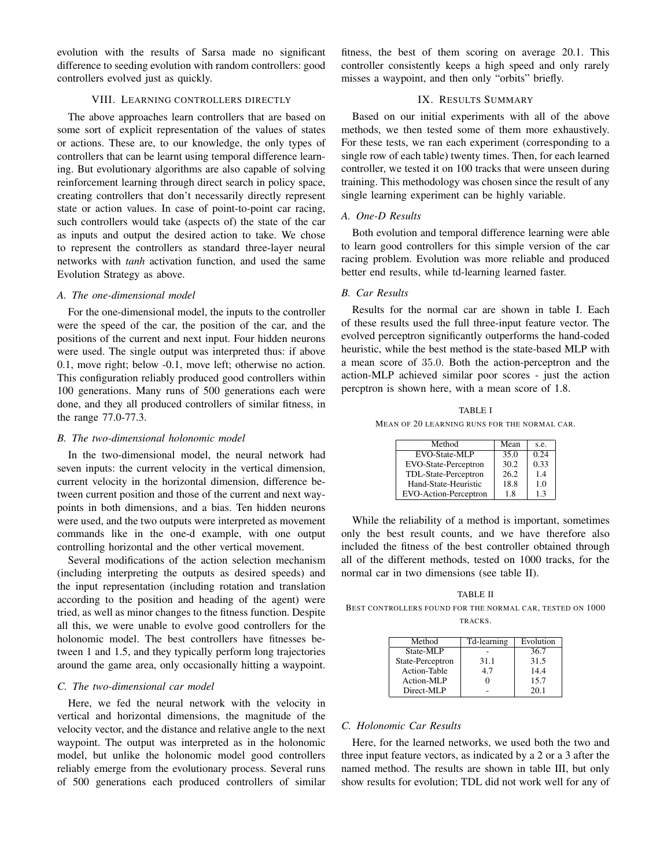evolution with the results of Sarsa made no significant difference to seeding evolution with random controllers: good controllers evolved just as quickly.

#### VIII. LEARNING CONTROLLERS DIRECTLY

The above approaches learn controllers that are based on some sort of explicit representation of the values of states or actions. These are, to our knowledge, the only types of controllers that can be learnt using temporal difference learning. But evolutionary algorithms are also capable of solving reinforcement learning through direct search in policy space, creating controllers that don't necessarily directly represent state or action values. In case of point-to-point car racing, such controllers would take (aspects of) the state of the car as inputs and output the desired action to take. We chose to represent the controllers as standard three-layer neural networks with *tanh* activation function, and used the same Evolution Strategy as above.

## *A. The one-dimensional model*

For the one-dimensional model, the inputs to the controller were the speed of the car, the position of the car, and the positions of the current and next input. Four hidden neurons were used. The single output was interpreted thus: if above 0.1, move right; below -0.1, move left; otherwise no action. This configuration reliably produced good controllers within 100 generations. Many runs of 500 generations each were done, and they all produced controllers of similar fitness, in the range 77.0-77.3.

## *B. The two-dimensional holonomic model*

In the two-dimensional model, the neural network had seven inputs: the current velocity in the vertical dimension, current velocity in the horizontal dimension, difference between current position and those of the current and next waypoints in both dimensions, and a bias. Ten hidden neurons were used, and the two outputs were interpreted as movement commands like in the one-d example, with one output controlling horizontal and the other vertical movement.

Several modifications of the action selection mechanism (including interpreting the outputs as desired speeds) and the input representation (including rotation and translation according to the position and heading of the agent) were tried, as well as minor changes to the fitness function. Despite all this, we were unable to evolve good controllers for the holonomic model. The best controllers have fitnesses between 1 and 1.5, and they typically perform long trajectories around the game area, only occasionally hitting a waypoint.

## *C. The two-dimensional car model*

Here, we fed the neural network with the velocity in vertical and horizontal dimensions, the magnitude of the velocity vector, and the distance and relative angle to the next waypoint. The output was interpreted as in the holonomic model, but unlike the holonomic model good controllers reliably emerge from the evolutionary process. Several runs of 500 generations each produced controllers of similar fitness, the best of them scoring on average 20.1. This controller consistently keeps a high speed and only rarely misses a waypoint, and then only "orbits" briefly.

## IX. RESULTS SUMMARY

Based on our initial experiments with all of the above methods, we then tested some of them more exhaustively. For these tests, we ran each experiment (corresponding to a single row of each table) twenty times. Then, for each learned controller, we tested it on 100 tracks that were unseen during training. This methodology was chosen since the result of any single learning experiment can be highly variable.

#### *A. One-D Results*

Both evolution and temporal difference learning were able to learn good controllers for this simple version of the car racing problem. Evolution was more reliable and produced better end results, while td-learning learned faster.

## *B. Car Results*

Results for the normal car are shown in table I. Each of these results used the full three-input feature vector. The evolved perceptron significantly outperforms the hand-coded heuristic, while the best method is the state-based MLP with a mean score of 35.0. Both the action-perceptron and the action-MLP achieved similar poor scores - just the action percptron is shown here, with a mean score of 1.8.

TABLE I MEAN OF 20 LEARNING RUNS FOR THE NORMAL CAR.

| Method                | Mean | s.e.           |
|-----------------------|------|----------------|
| EVO-State-MLP         | 35.0 | 0.24           |
| EVO-State-Perceptron  | 30.2 | 0.33           |
| TDL-State-Perceptron  | 26.2 | 1.4            |
| Hand-State-Heuristic  | 18.8 | 1.0            |
| EVO-Action-Perceptron | 1.8  | 1 <sup>3</sup> |

While the reliability of a method is important, sometimes only the best result counts, and we have therefore also included the fitness of the best controller obtained through all of the different methods, tested on 1000 tracks, for the normal car in two dimensions (see table II).

TABLE II BEST CONTROLLERS FOUND FOR THE NORMAL CAR, TESTED ON 1000

TRACKS.

| Method           | Td-learning | Evolution |
|------------------|-------------|-----------|
| State-MLP        |             | 36.7      |
| State-Perceptron | 31.1        | 31.5      |
| Action-Table     | 47          | 14.4      |
| Action-MLP       |             | 15.7      |
| Direct-MLP       |             | 20.1      |

## *C. Holonomic Car Results*

Here, for the learned networks, we used both the two and three input feature vectors, as indicated by a 2 or a 3 after the named method. The results are shown in table III, but only show results for evolution; TDL did not work well for any of